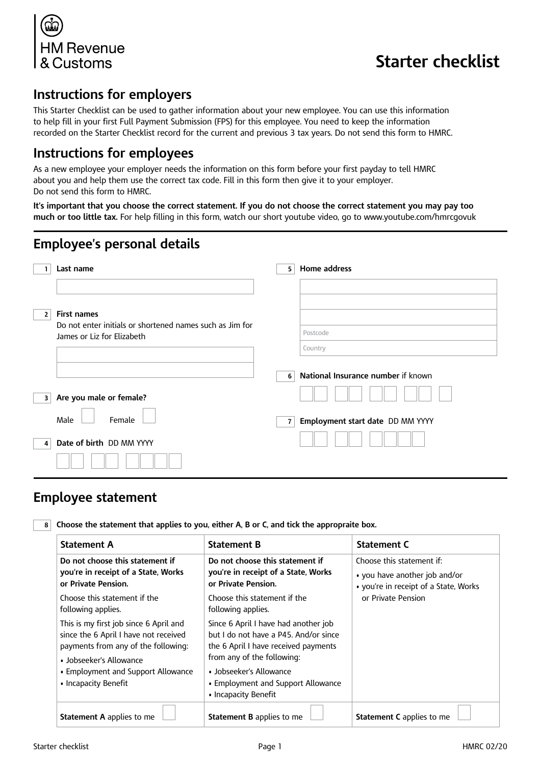

# **Starter checklist**

# **Instructions for employers**

This Starter Checklist can be used to gather information about your new employee. You can use this information to help fill in your first Full Payment Submission (FPS) for this employee. You need to keep the information recorded on the Starter Checklist record for the current and previous 3 tax years. Do not send this form to HMRC.

### **Instructions for employees**

As a new employee your employer needs the information on this form before your first payday to tell HMRC about you and help them use the correct tax code. Fill in this form then give it to your employer. Do not send this form to HMRC.

**It's important that you choose the correct statement. If you do not choose the correct statement you may pay too much or too little tax.** For help filling in this form, watch our short youtube video, go to www.youtube.com/hmrcgovuk

# **Employee's personal details**

|   | Last name                                                                              | 5              | Home address                       |
|---|----------------------------------------------------------------------------------------|----------------|------------------------------------|
|   |                                                                                        |                |                                    |
| 2 | <b>First names</b>                                                                     |                |                                    |
|   | Do not enter initials or shortened names such as Jim for<br>James or Liz for Elizabeth |                | Postcode                           |
|   |                                                                                        |                | Country                            |
|   |                                                                                        | 6              | National Insurance number if known |
| з | Are you male or female?                                                                |                |                                    |
|   | Male<br>Female                                                                         | $\overline{7}$ | Employment start date DD MM YYYY   |
| 4 | Date of birth DD MM YYYY                                                               |                |                                    |
|   |                                                                                        |                |                                    |

## **Employee statement**

**8 Choose the statement that applies to you, either A, B or C, and tick the appropraite box.**

| <b>Statement A</b>                                                                                                                                                                                              | <b>Statement B</b>                                                                                                                                                                                                                           | <b>Statement C</b>                                                                                  |  |
|-----------------------------------------------------------------------------------------------------------------------------------------------------------------------------------------------------------------|----------------------------------------------------------------------------------------------------------------------------------------------------------------------------------------------------------------------------------------------|-----------------------------------------------------------------------------------------------------|--|
| Do not choose this statement if<br>you're in receipt of a State, Works<br>or Private Pension.                                                                                                                   | Do not choose this statement if<br>you're in receipt of a State, Works<br>or Private Pension.                                                                                                                                                | Choose this statement if:<br>• you have another job and/or<br>• you're in receipt of a State, Works |  |
| Choose this statement if the<br>following applies.                                                                                                                                                              | Choose this statement if the<br>following applies.                                                                                                                                                                                           | or Private Pension                                                                                  |  |
| This is my first job since 6 April and<br>since the 6 April I have not received<br>payments from any of the following:<br>• Jobseeker's Allowance<br>• Employment and Support Allowance<br>• Incapacity Benefit | Since 6 April I have had another job<br>but I do not have a P45. And/or since<br>the 6 April I have received payments<br>from any of the following:<br>• Jobseeker's Allowance<br>• Employment and Support Allowance<br>• Incapacity Benefit |                                                                                                     |  |
| <b>Statement A</b> applies to me                                                                                                                                                                                | <b>Statement B</b> applies to me                                                                                                                                                                                                             | <b>Statement C</b> applies to me                                                                    |  |